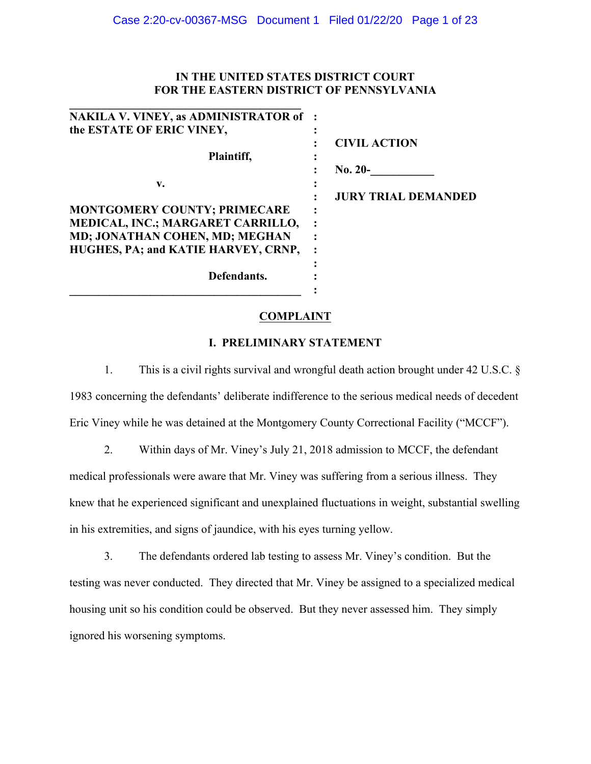# **IN THE UNITED STATES DISTRICT COURT FOR THE EASTERN DISTRICT OF PENNSYLVANIA**

| <b>NAKILA V. VINEY, as ADMINISTRATOR of :</b> |                            |
|-----------------------------------------------|----------------------------|
| the ESTATE OF ERIC VINEY,                     |                            |
|                                               | <b>CIVIL ACTION</b>        |
| Plaintiff,                                    |                            |
|                                               | $No. 20-$                  |
| v.                                            |                            |
|                                               | <b>JURY TRIAL DEMANDED</b> |
| <b>MONTGOMERY COUNTY; PRIMECARE</b>           |                            |
| MEDICAL, INC.; MARGARET CARRILLO,             |                            |
| MD; JONATHAN COHEN, MD; MEGHAN                |                            |
| HUGHES, PA; and KATIE HARVEY, CRNP,           |                            |
|                                               |                            |
| Defendants.                                   |                            |
|                                               |                            |

**\_\_\_\_\_\_\_\_\_\_\_\_\_\_\_\_\_\_\_\_\_\_\_\_\_\_\_\_\_\_\_\_\_\_\_\_\_\_\_\_**

### **COMPLAINT**

### **I. PRELIMINARY STATEMENT**

1. This is a civil rights survival and wrongful death action brought under 42 U.S.C. § 1983 concerning the defendants' deliberate indifference to the serious medical needs of decedent Eric Viney while he was detained at the Montgomery County Correctional Facility ("MCCF").

2. Within days of Mr. Viney's July 21, 2018 admission to MCCF, the defendant medical professionals were aware that Mr. Viney was suffering from a serious illness. They knew that he experienced significant and unexplained fluctuations in weight, substantial swelling in his extremities, and signs of jaundice, with his eyes turning yellow.

3. The defendants ordered lab testing to assess Mr. Viney's condition. But the testing was never conducted. They directed that Mr. Viney be assigned to a specialized medical housing unit so his condition could be observed. But they never assessed him. They simply ignored his worsening symptoms.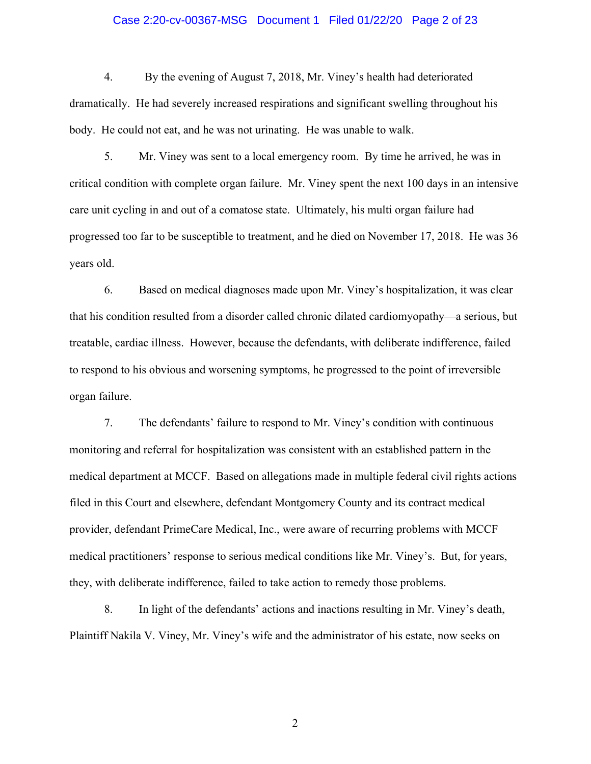#### Case 2:20-cv-00367-MSG Document 1 Filed 01/22/20 Page 2 of 23

4. By the evening of August 7, 2018, Mr. Viney's health had deteriorated dramatically. He had severely increased respirations and significant swelling throughout his body. He could not eat, and he was not urinating. He was unable to walk.

5. Mr. Viney was sent to a local emergency room. By time he arrived, he was in critical condition with complete organ failure. Mr. Viney spent the next 100 days in an intensive care unit cycling in and out of a comatose state. Ultimately, his multi organ failure had progressed too far to be susceptible to treatment, and he died on November 17, 2018. He was 36 years old.

6. Based on medical diagnoses made upon Mr. Viney's hospitalization, it was clear that his condition resulted from a disorder called chronic dilated cardiomyopathy—a serious, but treatable, cardiac illness. However, because the defendants, with deliberate indifference, failed to respond to his obvious and worsening symptoms, he progressed to the point of irreversible organ failure.

7. The defendants' failure to respond to Mr. Viney's condition with continuous monitoring and referral for hospitalization was consistent with an established pattern in the medical department at MCCF. Based on allegations made in multiple federal civil rights actions filed in this Court and elsewhere, defendant Montgomery County and its contract medical provider, defendant PrimeCare Medical, Inc., were aware of recurring problems with MCCF medical practitioners' response to serious medical conditions like Mr. Viney's. But, for years, they, with deliberate indifference, failed to take action to remedy those problems.

8. In light of the defendants' actions and inactions resulting in Mr. Viney's death, Plaintiff Nakila V. Viney, Mr. Viney's wife and the administrator of his estate, now seeks on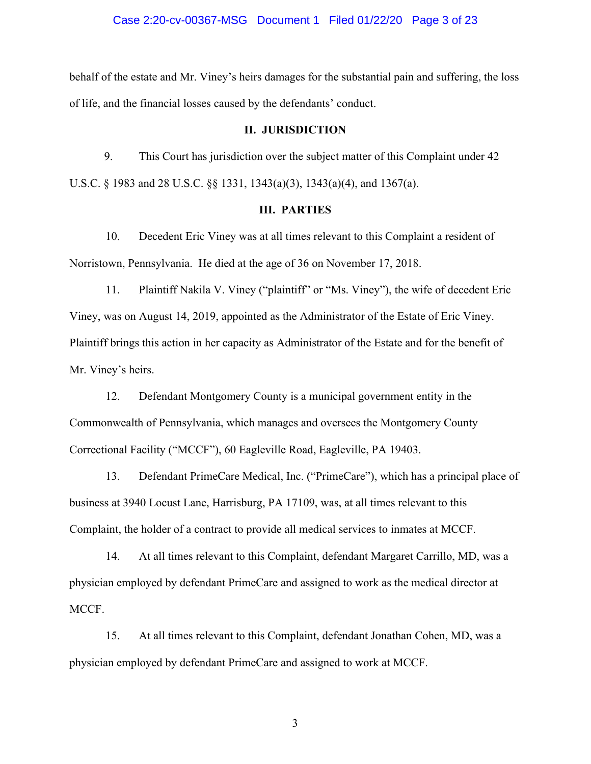#### Case 2:20-cv-00367-MSG Document 1 Filed 01/22/20 Page 3 of 23

behalf of the estate and Mr. Viney's heirs damages for the substantial pain and suffering, the loss of life, and the financial losses caused by the defendants' conduct.

#### **II. JURISDICTION**

9. This Court has jurisdiction over the subject matter of this Complaint under 42 U.S.C. § 1983 and 28 U.S.C. §§ 1331, 1343(a)(3), 1343(a)(4), and 1367(a).

#### **III. PARTIES**

10. Decedent Eric Viney was at all times relevant to this Complaint a resident of Norristown, Pennsylvania. He died at the age of 36 on November 17, 2018.

11. Plaintiff Nakila V. Viney ("plaintiff" or "Ms. Viney"), the wife of decedent Eric Viney, was on August 14, 2019, appointed as the Administrator of the Estate of Eric Viney. Plaintiff brings this action in her capacity as Administrator of the Estate and for the benefit of Mr. Viney's heirs.

12. Defendant Montgomery County is a municipal government entity in the Commonwealth of Pennsylvania, which manages and oversees the Montgomery County Correctional Facility ("MCCF"), 60 Eagleville Road, Eagleville, PA 19403.

13. Defendant PrimeCare Medical, Inc. ("PrimeCare"), which has a principal place of business at 3940 Locust Lane, Harrisburg, PA 17109, was, at all times relevant to this Complaint, the holder of a contract to provide all medical services to inmates at MCCF.

14. At all times relevant to this Complaint, defendant Margaret Carrillo, MD, was a physician employed by defendant PrimeCare and assigned to work as the medical director at MCCF.

15. At all times relevant to this Complaint, defendant Jonathan Cohen, MD, was a physician employed by defendant PrimeCare and assigned to work at MCCF.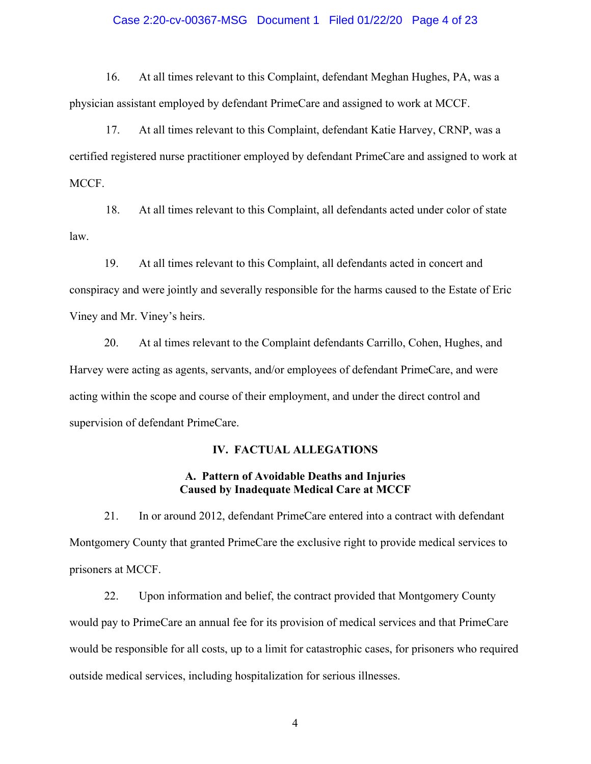#### Case 2:20-cv-00367-MSG Document 1 Filed 01/22/20 Page 4 of 23

16. At all times relevant to this Complaint, defendant Meghan Hughes, PA, was a physician assistant employed by defendant PrimeCare and assigned to work at MCCF.

17. At all times relevant to this Complaint, defendant Katie Harvey, CRNP, was a certified registered nurse practitioner employed by defendant PrimeCare and assigned to work at MCCF.

18. At all times relevant to this Complaint, all defendants acted under color of state law.

19. At all times relevant to this Complaint, all defendants acted in concert and conspiracy and were jointly and severally responsible for the harms caused to the Estate of Eric Viney and Mr. Viney's heirs.

20. At al times relevant to the Complaint defendants Carrillo, Cohen, Hughes, and Harvey were acting as agents, servants, and/or employees of defendant PrimeCare, and were acting within the scope and course of their employment, and under the direct control and supervision of defendant PrimeCare.

# **IV. FACTUAL ALLEGATIONS**

# **A. Pattern of Avoidable Deaths and Injuries Caused by Inadequate Medical Care at MCCF**

21. In or around 2012, defendant PrimeCare entered into a contract with defendant Montgomery County that granted PrimeCare the exclusive right to provide medical services to prisoners at MCCF.

22. Upon information and belief, the contract provided that Montgomery County would pay to PrimeCare an annual fee for its provision of medical services and that PrimeCare would be responsible for all costs, up to a limit for catastrophic cases, for prisoners who required outside medical services, including hospitalization for serious illnesses.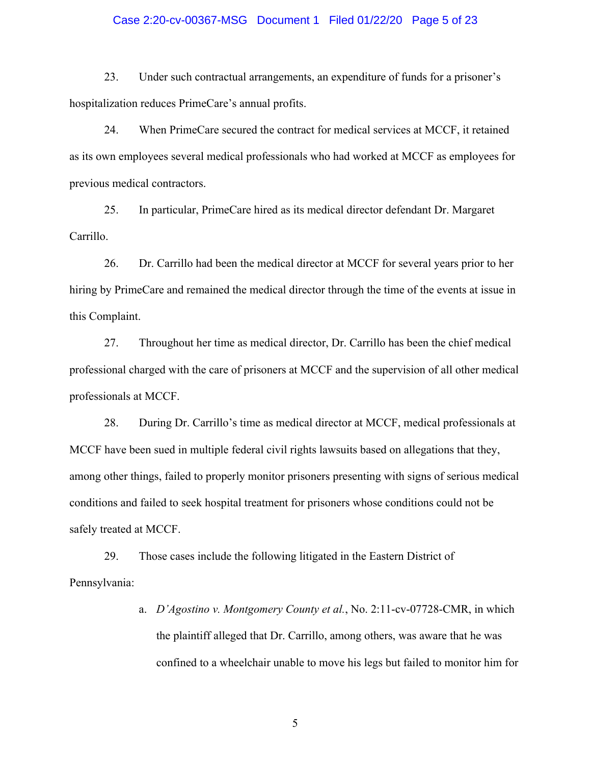#### Case 2:20-cv-00367-MSG Document 1 Filed 01/22/20 Page 5 of 23

23. Under such contractual arrangements, an expenditure of funds for a prisoner's hospitalization reduces PrimeCare's annual profits.

24. When PrimeCare secured the contract for medical services at MCCF, it retained as its own employees several medical professionals who had worked at MCCF as employees for previous medical contractors.

25. In particular, PrimeCare hired as its medical director defendant Dr. Margaret Carrillo.

26. Dr. Carrillo had been the medical director at MCCF for several years prior to her hiring by PrimeCare and remained the medical director through the time of the events at issue in this Complaint.

27. Throughout her time as medical director, Dr. Carrillo has been the chief medical professional charged with the care of prisoners at MCCF and the supervision of all other medical professionals at MCCF.

28. During Dr. Carrillo's time as medical director at MCCF, medical professionals at MCCF have been sued in multiple federal civil rights lawsuits based on allegations that they, among other things, failed to properly monitor prisoners presenting with signs of serious medical conditions and failed to seek hospital treatment for prisoners whose conditions could not be safely treated at MCCF.

29. Those cases include the following litigated in the Eastern District of Pennsylvania:

> a. *D'Agostino v. Montgomery County et al.*, No. 2:11-cv-07728-CMR, in which the plaintiff alleged that Dr. Carrillo, among others, was aware that he was confined to a wheelchair unable to move his legs but failed to monitor him for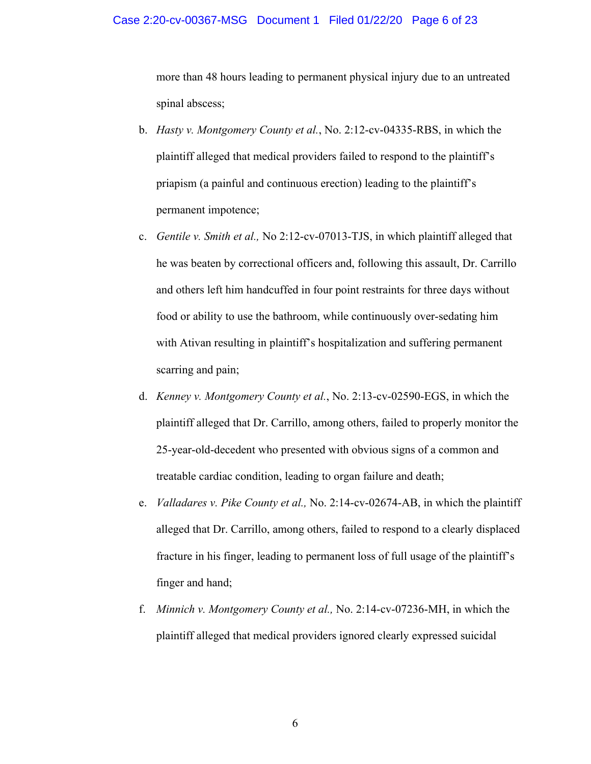#### Case 2:20-cv-00367-MSG Document 1 Filed 01/22/20 Page 6 of 23

more than 48 hours leading to permanent physical injury due to an untreated spinal abscess;

- b. *Hasty v. Montgomery County et al.*, No. 2:12-cv-04335-RBS, in which the plaintiff alleged that medical providers failed to respond to the plaintiff's priapism (a painful and continuous erection) leading to the plaintiff's permanent impotence;
- c. *Gentile v. Smith et al.,* No 2:12-cv-07013-TJS, in which plaintiff alleged that he was beaten by correctional officers and, following this assault, Dr. Carrillo and others left him handcuffed in four point restraints for three days without food or ability to use the bathroom, while continuously over-sedating him with Ativan resulting in plaintiff's hospitalization and suffering permanent scarring and pain;
- d. *Kenney v. Montgomery County et al.*, No. 2:13-cv-02590-EGS, in which the plaintiff alleged that Dr. Carrillo, among others, failed to properly monitor the 25-year-old-decedent who presented with obvious signs of a common and treatable cardiac condition, leading to organ failure and death;
- e. *Valladares v. Pike County et al.,* No. 2:14-cv-02674-AB, in which the plaintiff alleged that Dr. Carrillo, among others, failed to respond to a clearly displaced fracture in his finger, leading to permanent loss of full usage of the plaintiff's finger and hand;
- f. *Minnich v. Montgomery County et al.,* No. 2:14-cv-07236-MH, in which the plaintiff alleged that medical providers ignored clearly expressed suicidal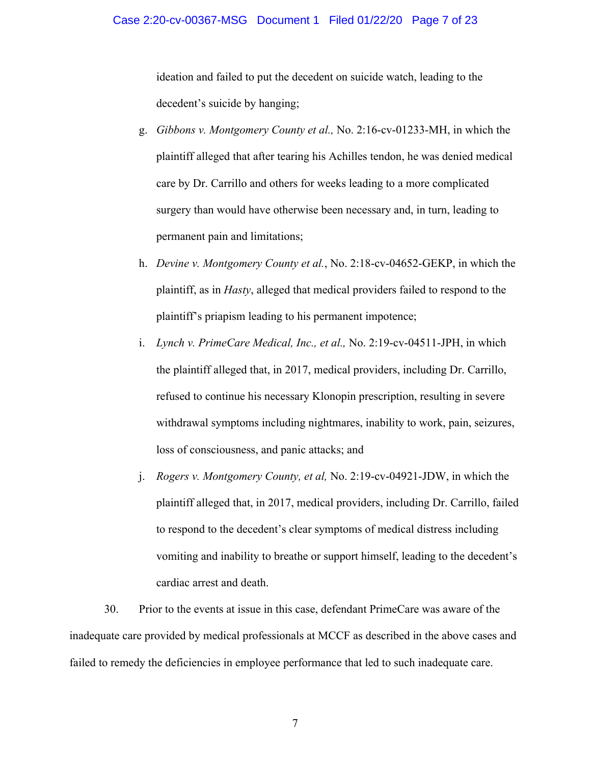#### Case 2:20-cv-00367-MSG Document 1 Filed 01/22/20 Page 7 of 23

ideation and failed to put the decedent on suicide watch, leading to the decedent's suicide by hanging;

- g. *Gibbons v. Montgomery County et al.,* No. 2:16-cv-01233-MH, in which the plaintiff alleged that after tearing his Achilles tendon, he was denied medical care by Dr. Carrillo and others for weeks leading to a more complicated surgery than would have otherwise been necessary and, in turn, leading to permanent pain and limitations;
- h. *Devine v. Montgomery County et al.*, No. 2:18-cv-04652-GEKP, in which the plaintiff, as in *Hasty*, alleged that medical providers failed to respond to the plaintiff's priapism leading to his permanent impotence;
- i. *Lynch v. PrimeCare Medical, Inc., et al.,* No. 2:19-cv-04511-JPH, in which the plaintiff alleged that, in 2017, medical providers, including Dr. Carrillo, refused to continue his necessary Klonopin prescription, resulting in severe withdrawal symptoms including nightmares, inability to work, pain, seizures, loss of consciousness, and panic attacks; and
- j. *Rogers v. Montgomery County, et al,* No. 2:19-cv-04921-JDW, in which the plaintiff alleged that, in 2017, medical providers, including Dr. Carrillo, failed to respond to the decedent's clear symptoms of medical distress including vomiting and inability to breathe or support himself, leading to the decedent's cardiac arrest and death.

30. Prior to the events at issue in this case, defendant PrimeCare was aware of the inadequate care provided by medical professionals at MCCF as described in the above cases and failed to remedy the deficiencies in employee performance that led to such inadequate care.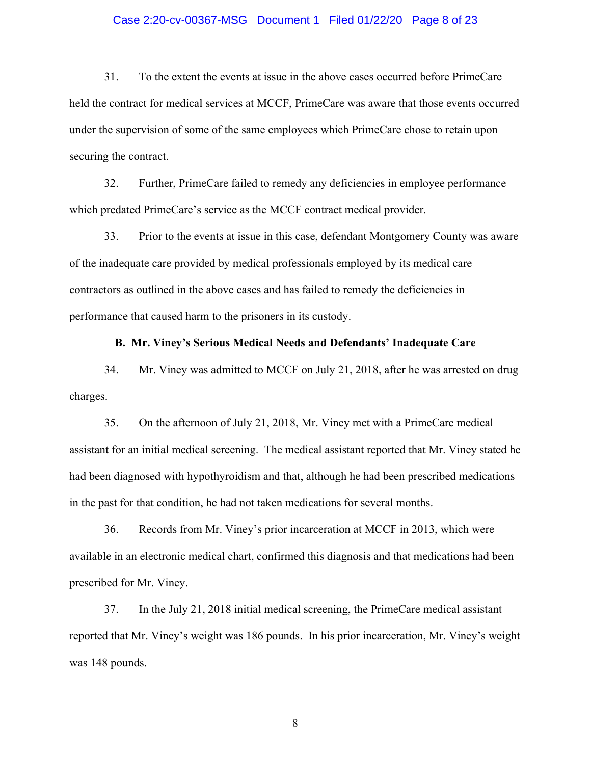#### Case 2:20-cv-00367-MSG Document 1 Filed 01/22/20 Page 8 of 23

31. To the extent the events at issue in the above cases occurred before PrimeCare held the contract for medical services at MCCF, PrimeCare was aware that those events occurred under the supervision of some of the same employees which PrimeCare chose to retain upon securing the contract.

32. Further, PrimeCare failed to remedy any deficiencies in employee performance which predated PrimeCare's service as the MCCF contract medical provider.

33. Prior to the events at issue in this case, defendant Montgomery County was aware of the inadequate care provided by medical professionals employed by its medical care contractors as outlined in the above cases and has failed to remedy the deficiencies in performance that caused harm to the prisoners in its custody.

#### **B. Mr. Viney's Serious Medical Needs and Defendants' Inadequate Care**

34. Mr. Viney was admitted to MCCF on July 21, 2018, after he was arrested on drug charges.

35. On the afternoon of July 21, 2018, Mr. Viney met with a PrimeCare medical assistant for an initial medical screening. The medical assistant reported that Mr. Viney stated he had been diagnosed with hypothyroidism and that, although he had been prescribed medications in the past for that condition, he had not taken medications for several months.

36. Records from Mr. Viney's prior incarceration at MCCF in 2013, which were available in an electronic medical chart, confirmed this diagnosis and that medications had been prescribed for Mr. Viney.

37. In the July 21, 2018 initial medical screening, the PrimeCare medical assistant reported that Mr. Viney's weight was 186 pounds. In his prior incarceration, Mr. Viney's weight was 148 pounds.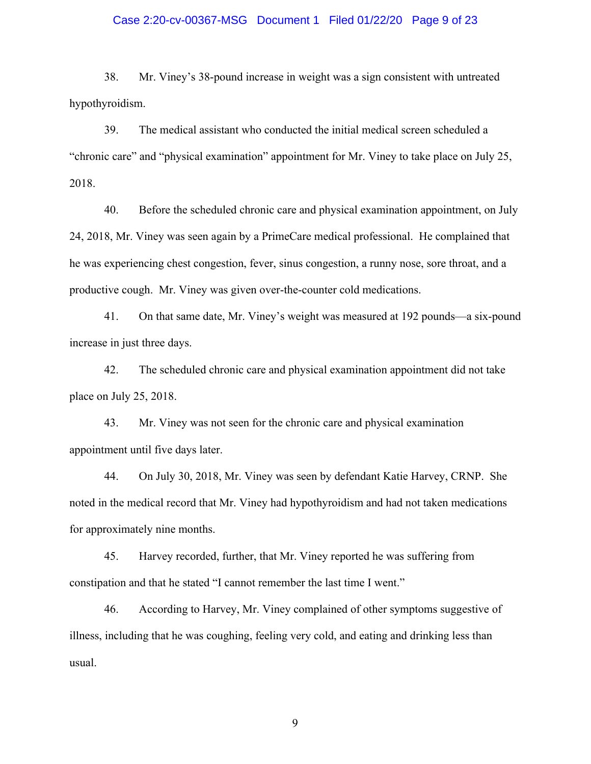#### Case 2:20-cv-00367-MSG Document 1 Filed 01/22/20 Page 9 of 23

38. Mr. Viney's 38-pound increase in weight was a sign consistent with untreated hypothyroidism.

39. The medical assistant who conducted the initial medical screen scheduled a "chronic care" and "physical examination" appointment for Mr. Viney to take place on July 25, 2018.

40. Before the scheduled chronic care and physical examination appointment, on July 24, 2018, Mr. Viney was seen again by a PrimeCare medical professional. He complained that he was experiencing chest congestion, fever, sinus congestion, a runny nose, sore throat, and a productive cough. Mr. Viney was given over-the-counter cold medications.

41. On that same date, Mr. Viney's weight was measured at 192 pounds—a six-pound increase in just three days.

42. The scheduled chronic care and physical examination appointment did not take place on July 25, 2018.

43. Mr. Viney was not seen for the chronic care and physical examination appointment until five days later.

44. On July 30, 2018, Mr. Viney was seen by defendant Katie Harvey, CRNP. She noted in the medical record that Mr. Viney had hypothyroidism and had not taken medications for approximately nine months.

45. Harvey recorded, further, that Mr. Viney reported he was suffering from constipation and that he stated "I cannot remember the last time I went."

46. According to Harvey, Mr. Viney complained of other symptoms suggestive of illness, including that he was coughing, feeling very cold, and eating and drinking less than usual.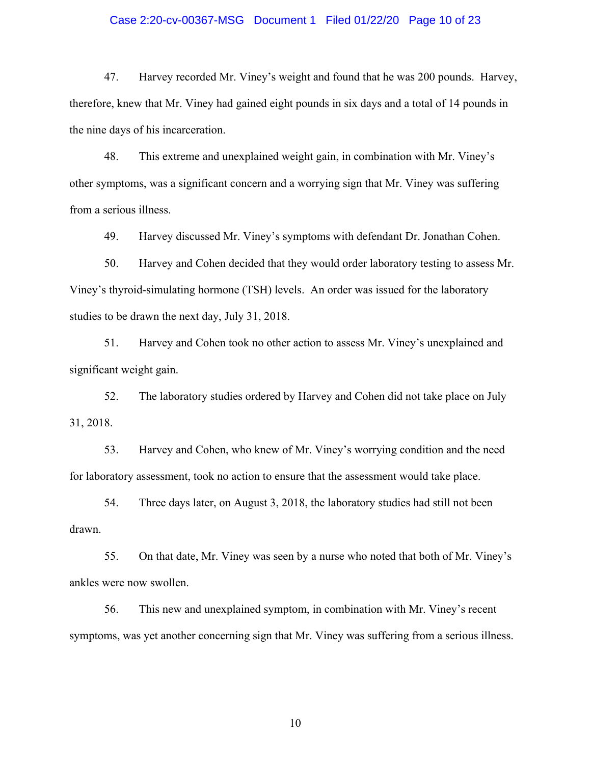#### Case 2:20-cv-00367-MSG Document 1 Filed 01/22/20 Page 10 of 23

47. Harvey recorded Mr. Viney's weight and found that he was 200 pounds. Harvey, therefore, knew that Mr. Viney had gained eight pounds in six days and a total of 14 pounds in the nine days of his incarceration.

48. This extreme and unexplained weight gain, in combination with Mr. Viney's other symptoms, was a significant concern and a worrying sign that Mr. Viney was suffering from a serious illness.

49. Harvey discussed Mr. Viney's symptoms with defendant Dr. Jonathan Cohen.

50. Harvey and Cohen decided that they would order laboratory testing to assess Mr. Viney's thyroid-simulating hormone (TSH) levels. An order was issued for the laboratory studies to be drawn the next day, July 31, 2018.

51. Harvey and Cohen took no other action to assess Mr. Viney's unexplained and significant weight gain.

52. The laboratory studies ordered by Harvey and Cohen did not take place on July 31, 2018.

53. Harvey and Cohen, who knew of Mr. Viney's worrying condition and the need for laboratory assessment, took no action to ensure that the assessment would take place.

54. Three days later, on August 3, 2018, the laboratory studies had still not been drawn.

55. On that date, Mr. Viney was seen by a nurse who noted that both of Mr. Viney's ankles were now swollen.

56. This new and unexplained symptom, in combination with Mr. Viney's recent symptoms, was yet another concerning sign that Mr. Viney was suffering from a serious illness.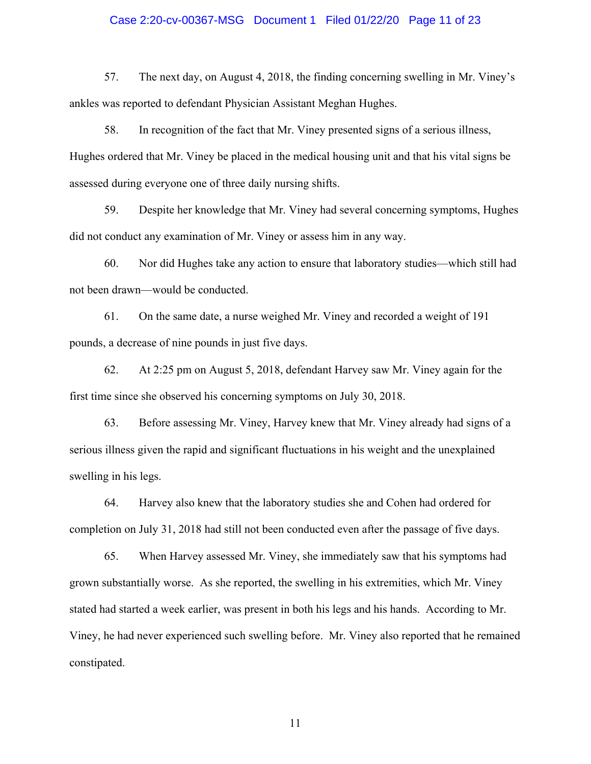#### Case 2:20-cv-00367-MSG Document 1 Filed 01/22/20 Page 11 of 23

57. The next day, on August 4, 2018, the finding concerning swelling in Mr. Viney's ankles was reported to defendant Physician Assistant Meghan Hughes.

58. In recognition of the fact that Mr. Viney presented signs of a serious illness, Hughes ordered that Mr. Viney be placed in the medical housing unit and that his vital signs be assessed during everyone one of three daily nursing shifts.

59. Despite her knowledge that Mr. Viney had several concerning symptoms, Hughes did not conduct any examination of Mr. Viney or assess him in any way.

60. Nor did Hughes take any action to ensure that laboratory studies—which still had not been drawn—would be conducted.

61. On the same date, a nurse weighed Mr. Viney and recorded a weight of 191 pounds, a decrease of nine pounds in just five days.

62. At 2:25 pm on August 5, 2018, defendant Harvey saw Mr. Viney again for the first time since she observed his concerning symptoms on July 30, 2018.

63. Before assessing Mr. Viney, Harvey knew that Mr. Viney already had signs of a serious illness given the rapid and significant fluctuations in his weight and the unexplained swelling in his legs.

64. Harvey also knew that the laboratory studies she and Cohen had ordered for completion on July 31, 2018 had still not been conducted even after the passage of five days.

65. When Harvey assessed Mr. Viney, she immediately saw that his symptoms had grown substantially worse. As she reported, the swelling in his extremities, which Mr. Viney stated had started a week earlier, was present in both his legs and his hands. According to Mr. Viney, he had never experienced such swelling before. Mr. Viney also reported that he remained constipated.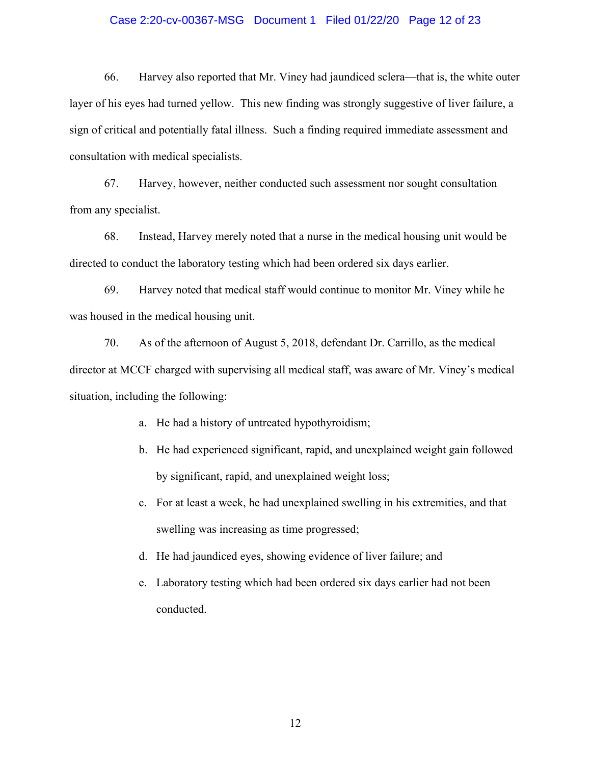#### Case 2:20-cv-00367-MSG Document 1 Filed 01/22/20 Page 12 of 23

66. Harvey also reported that Mr. Viney had jaundiced sclera—that is, the white outer layer of his eyes had turned yellow. This new finding was strongly suggestive of liver failure, a sign of critical and potentially fatal illness. Such a finding required immediate assessment and consultation with medical specialists.

67. Harvey, however, neither conducted such assessment nor sought consultation from any specialist.

68. Instead, Harvey merely noted that a nurse in the medical housing unit would be directed to conduct the laboratory testing which had been ordered six days earlier.

69. Harvey noted that medical staff would continue to monitor Mr. Viney while he was housed in the medical housing unit.

70. As of the afternoon of August 5, 2018, defendant Dr. Carrillo, as the medical director at MCCF charged with supervising all medical staff, was aware of Mr. Viney's medical situation, including the following:

- a. He had a history of untreated hypothyroidism;
- b. He had experienced significant, rapid, and unexplained weight gain followed by significant, rapid, and unexplained weight loss;
- c. For at least a week, he had unexplained swelling in his extremities, and that swelling was increasing as time progressed;
- d. He had jaundiced eyes, showing evidence of liver failure; and
- e. Laboratory testing which had been ordered six days earlier had not been conducted.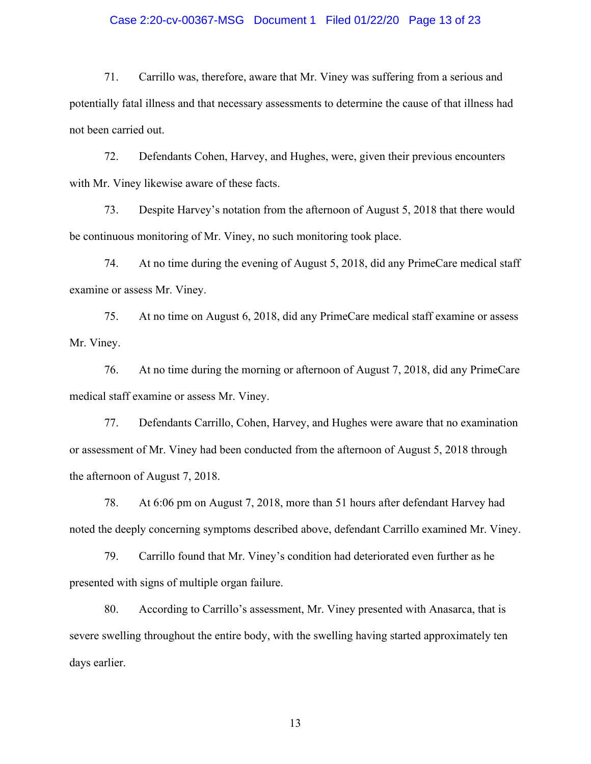#### Case 2:20-cv-00367-MSG Document 1 Filed 01/22/20 Page 13 of 23

71. Carrillo was, therefore, aware that Mr. Viney was suffering from a serious and potentially fatal illness and that necessary assessments to determine the cause of that illness had not been carried out.

72. Defendants Cohen, Harvey, and Hughes, were, given their previous encounters with Mr. Viney likewise aware of these facts.

73. Despite Harvey's notation from the afternoon of August 5, 2018 that there would be continuous monitoring of Mr. Viney, no such monitoring took place.

74. At no time during the evening of August 5, 2018, did any PrimeCare medical staff examine or assess Mr. Viney.

75. At no time on August 6, 2018, did any PrimeCare medical staff examine or assess Mr. Viney.

76. At no time during the morning or afternoon of August 7, 2018, did any PrimeCare medical staff examine or assess Mr. Viney.

77. Defendants Carrillo, Cohen, Harvey, and Hughes were aware that no examination or assessment of Mr. Viney had been conducted from the afternoon of August 5, 2018 through the afternoon of August 7, 2018.

78. At 6:06 pm on August 7, 2018, more than 51 hours after defendant Harvey had noted the deeply concerning symptoms described above, defendant Carrillo examined Mr. Viney.

79. Carrillo found that Mr. Viney's condition had deteriorated even further as he presented with signs of multiple organ failure.

80. According to Carrillo's assessment, Mr. Viney presented with Anasarca, that is severe swelling throughout the entire body, with the swelling having started approximately ten days earlier.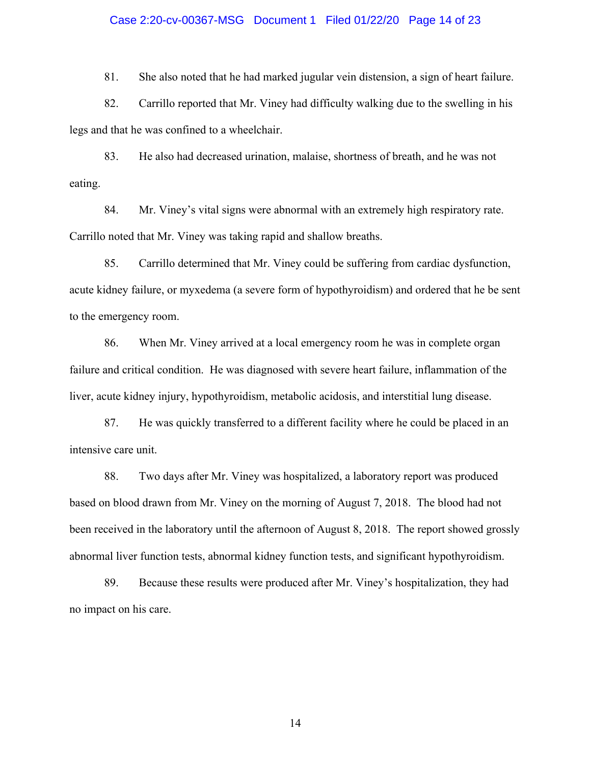#### Case 2:20-cv-00367-MSG Document 1 Filed 01/22/20 Page 14 of 23

81. She also noted that he had marked jugular vein distension, a sign of heart failure.

82. Carrillo reported that Mr. Viney had difficulty walking due to the swelling in his legs and that he was confined to a wheelchair.

83. He also had decreased urination, malaise, shortness of breath, and he was not eating.

84. Mr. Viney's vital signs were abnormal with an extremely high respiratory rate. Carrillo noted that Mr. Viney was taking rapid and shallow breaths.

85. Carrillo determined that Mr. Viney could be suffering from cardiac dysfunction, acute kidney failure, or myxedema (a severe form of hypothyroidism) and ordered that he be sent to the emergency room.

86. When Mr. Viney arrived at a local emergency room he was in complete organ failure and critical condition. He was diagnosed with severe heart failure, inflammation of the liver, acute kidney injury, hypothyroidism, metabolic acidosis, and interstitial lung disease.

87. He was quickly transferred to a different facility where he could be placed in an intensive care unit.

88. Two days after Mr. Viney was hospitalized, a laboratory report was produced based on blood drawn from Mr. Viney on the morning of August 7, 2018. The blood had not been received in the laboratory until the afternoon of August 8, 2018. The report showed grossly abnormal liver function tests, abnormal kidney function tests, and significant hypothyroidism.

89. Because these results were produced after Mr. Viney's hospitalization, they had no impact on his care.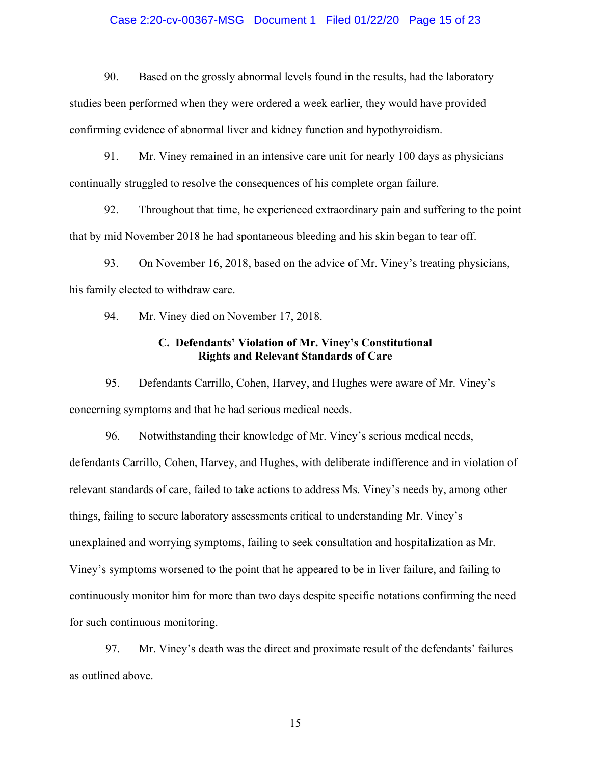#### Case 2:20-cv-00367-MSG Document 1 Filed 01/22/20 Page 15 of 23

90. Based on the grossly abnormal levels found in the results, had the laboratory studies been performed when they were ordered a week earlier, they would have provided confirming evidence of abnormal liver and kidney function and hypothyroidism.

91. Mr. Viney remained in an intensive care unit for nearly 100 days as physicians continually struggled to resolve the consequences of his complete organ failure.

92. Throughout that time, he experienced extraordinary pain and suffering to the point that by mid November 2018 he had spontaneous bleeding and his skin began to tear off.

93. On November 16, 2018, based on the advice of Mr. Viney's treating physicians, his family elected to withdraw care.

94. Mr. Viney died on November 17, 2018.

# **C. Defendants' Violation of Mr. Viney's Constitutional Rights and Relevant Standards of Care**

95. Defendants Carrillo, Cohen, Harvey, and Hughes were aware of Mr. Viney's concerning symptoms and that he had serious medical needs.

96. Notwithstanding their knowledge of Mr. Viney's serious medical needs, defendants Carrillo, Cohen, Harvey, and Hughes, with deliberate indifference and in violation of relevant standards of care, failed to take actions to address Ms. Viney's needs by, among other things, failing to secure laboratory assessments critical to understanding Mr. Viney's unexplained and worrying symptoms, failing to seek consultation and hospitalization as Mr. Viney's symptoms worsened to the point that he appeared to be in liver failure, and failing to continuously monitor him for more than two days despite specific notations confirming the need for such continuous monitoring.

97. Mr. Viney's death was the direct and proximate result of the defendants' failures as outlined above.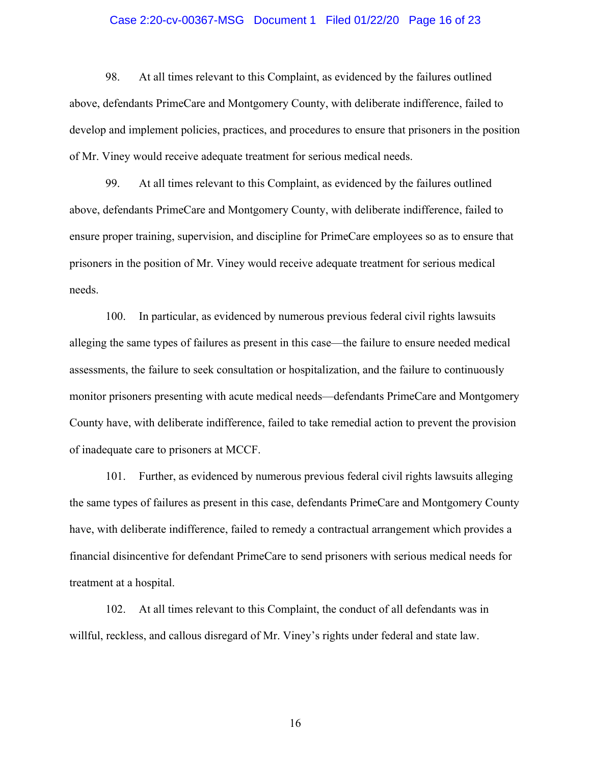#### Case 2:20-cv-00367-MSG Document 1 Filed 01/22/20 Page 16 of 23

98. At all times relevant to this Complaint, as evidenced by the failures outlined above, defendants PrimeCare and Montgomery County, with deliberate indifference, failed to develop and implement policies, practices, and procedures to ensure that prisoners in the position of Mr. Viney would receive adequate treatment for serious medical needs.

99. At all times relevant to this Complaint, as evidenced by the failures outlined above, defendants PrimeCare and Montgomery County, with deliberate indifference, failed to ensure proper training, supervision, and discipline for PrimeCare employees so as to ensure that prisoners in the position of Mr. Viney would receive adequate treatment for serious medical needs.

100. In particular, as evidenced by numerous previous federal civil rights lawsuits alleging the same types of failures as present in this case—the failure to ensure needed medical assessments, the failure to seek consultation or hospitalization, and the failure to continuously monitor prisoners presenting with acute medical needs—defendants PrimeCare and Montgomery County have, with deliberate indifference, failed to take remedial action to prevent the provision of inadequate care to prisoners at MCCF.

101. Further, as evidenced by numerous previous federal civil rights lawsuits alleging the same types of failures as present in this case, defendants PrimeCare and Montgomery County have, with deliberate indifference, failed to remedy a contractual arrangement which provides a financial disincentive for defendant PrimeCare to send prisoners with serious medical needs for treatment at a hospital.

102. At all times relevant to this Complaint, the conduct of all defendants was in willful, reckless, and callous disregard of Mr. Viney's rights under federal and state law.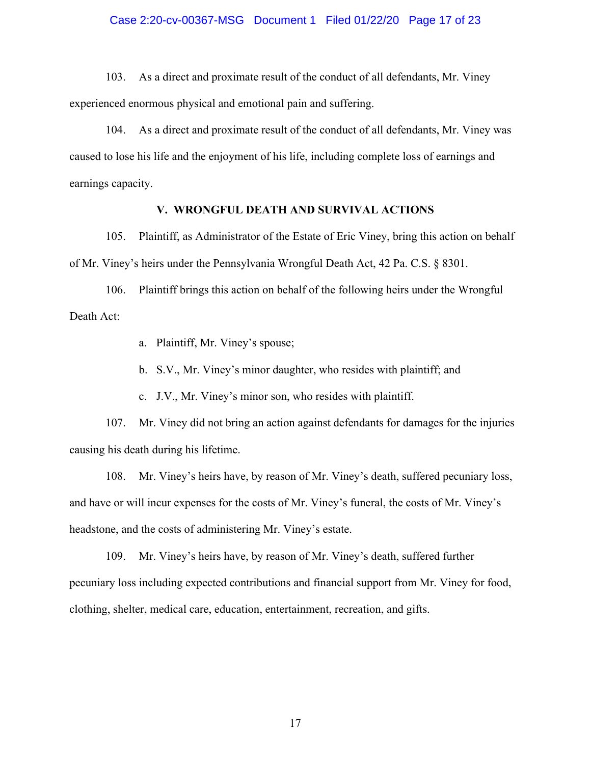#### Case 2:20-cv-00367-MSG Document 1 Filed 01/22/20 Page 17 of 23

103. As a direct and proximate result of the conduct of all defendants, Mr. Viney experienced enormous physical and emotional pain and suffering.

104. As a direct and proximate result of the conduct of all defendants, Mr. Viney was caused to lose his life and the enjoyment of his life, including complete loss of earnings and earnings capacity.

### **V. WRONGFUL DEATH AND SURVIVAL ACTIONS**

105. Plaintiff, as Administrator of the Estate of Eric Viney, bring this action on behalf of Mr. Viney's heirs under the Pennsylvania Wrongful Death Act, 42 Pa. C.S. § 8301.

106. Plaintiff brings this action on behalf of the following heirs under the Wrongful Death Act:

a. Plaintiff, Mr. Viney's spouse;

b. S.V., Mr. Viney's minor daughter, who resides with plaintiff; and

c. J.V., Mr. Viney's minor son, who resides with plaintiff.

107. Mr. Viney did not bring an action against defendants for damages for the injuries causing his death during his lifetime.

108. Mr. Viney's heirs have, by reason of Mr. Viney's death, suffered pecuniary loss, and have or will incur expenses for the costs of Mr. Viney's funeral, the costs of Mr. Viney's headstone, and the costs of administering Mr. Viney's estate.

109. Mr. Viney's heirs have, by reason of Mr. Viney's death, suffered further pecuniary loss including expected contributions and financial support from Mr. Viney for food, clothing, shelter, medical care, education, entertainment, recreation, and gifts.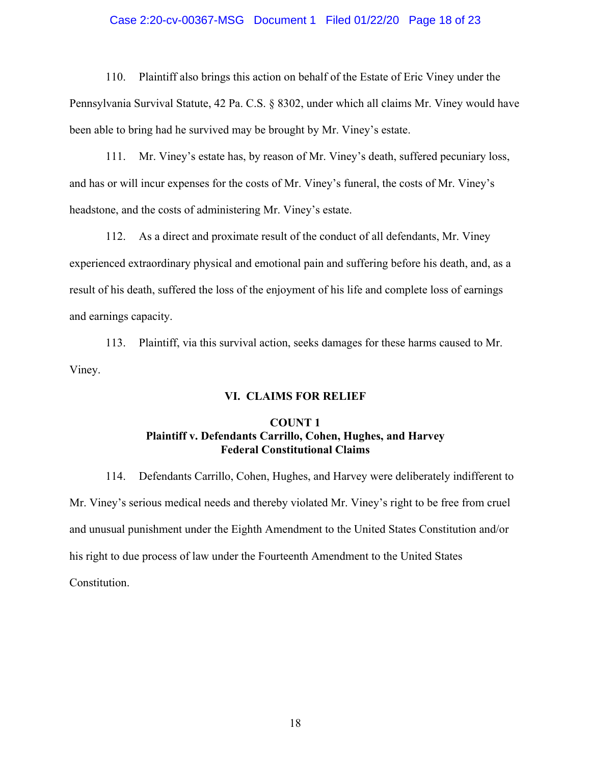#### Case 2:20-cv-00367-MSG Document 1 Filed 01/22/20 Page 18 of 23

110. Plaintiff also brings this action on behalf of the Estate of Eric Viney under the Pennsylvania Survival Statute, 42 Pa. C.S. § 8302, under which all claims Mr. Viney would have been able to bring had he survived may be brought by Mr. Viney's estate.

111. Mr. Viney's estate has, by reason of Mr. Viney's death, suffered pecuniary loss, and has or will incur expenses for the costs of Mr. Viney's funeral, the costs of Mr. Viney's headstone, and the costs of administering Mr. Viney's estate.

112. As a direct and proximate result of the conduct of all defendants, Mr. Viney experienced extraordinary physical and emotional pain and suffering before his death, and, as a result of his death, suffered the loss of the enjoyment of his life and complete loss of earnings and earnings capacity.

113. Plaintiff, via this survival action, seeks damages for these harms caused to Mr. Viney.

#### **VI. CLAIMS FOR RELIEF**

# **COUNT 1 Plaintiff v. Defendants Carrillo, Cohen, Hughes, and Harvey Federal Constitutional Claims**

114. Defendants Carrillo, Cohen, Hughes, and Harvey were deliberately indifferent to Mr. Viney's serious medical needs and thereby violated Mr. Viney's right to be free from cruel and unusual punishment under the Eighth Amendment to the United States Constitution and/or his right to due process of law under the Fourteenth Amendment to the United States Constitution.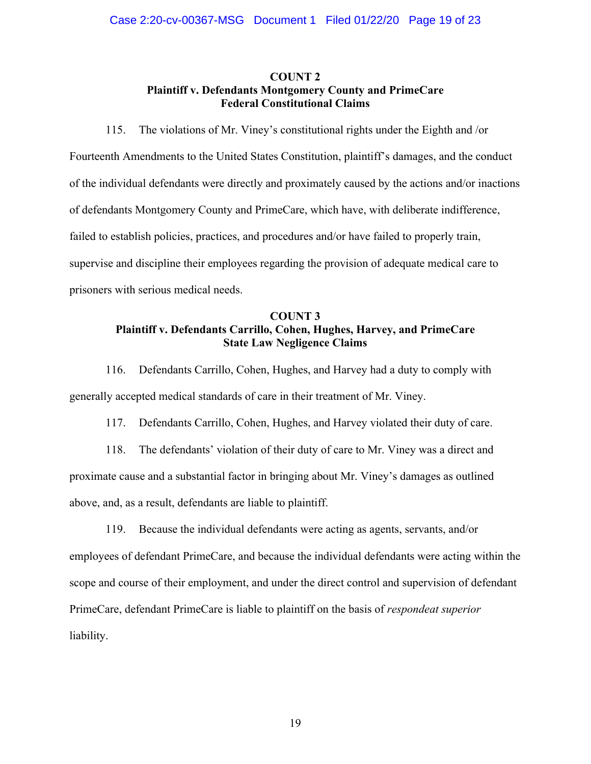# **COUNT 2 Plaintiff v. Defendants Montgomery County and PrimeCare Federal Constitutional Claims**

115. The violations of Mr. Viney's constitutional rights under the Eighth and /or Fourteenth Amendments to the United States Constitution, plaintiff's damages, and the conduct of the individual defendants were directly and proximately caused by the actions and/or inactions of defendants Montgomery County and PrimeCare, which have, with deliberate indifference, failed to establish policies, practices, and procedures and/or have failed to properly train, supervise and discipline their employees regarding the provision of adequate medical care to prisoners with serious medical needs.

# **COUNT 3 Plaintiff v. Defendants Carrillo, Cohen, Hughes, Harvey, and PrimeCare State Law Negligence Claims**

116. Defendants Carrillo, Cohen, Hughes, and Harvey had a duty to comply with generally accepted medical standards of care in their treatment of Mr. Viney.

117. Defendants Carrillo, Cohen, Hughes, and Harvey violated their duty of care.

118. The defendants' violation of their duty of care to Mr. Viney was a direct and proximate cause and a substantial factor in bringing about Mr. Viney's damages as outlined above, and, as a result, defendants are liable to plaintiff.

119. Because the individual defendants were acting as agents, servants, and/or employees of defendant PrimeCare, and because the individual defendants were acting within the scope and course of their employment, and under the direct control and supervision of defendant PrimeCare, defendant PrimeCare is liable to plaintiff on the basis of *respondeat superior* liability.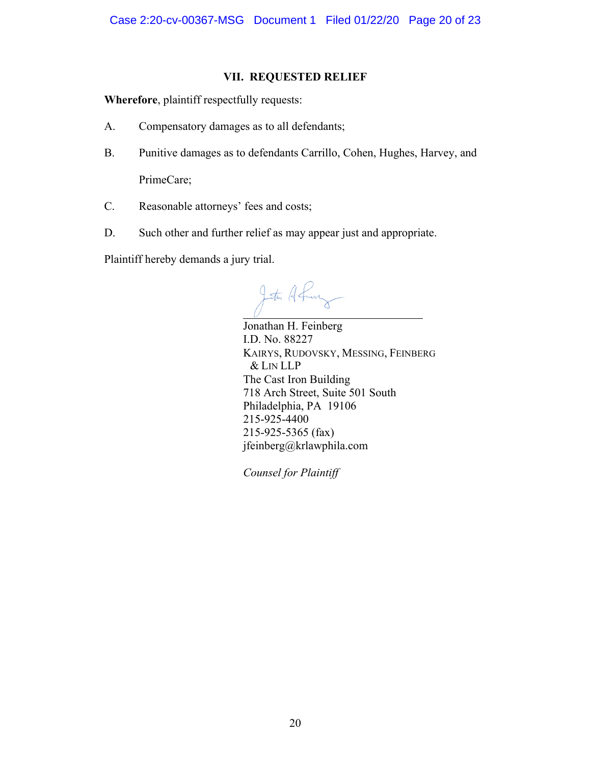# **VII. REQUESTED RELIEF**

**Wherefore**, plaintiff respectfully requests:

- A. Compensatory damages as to all defendants;
- B. Punitive damages as to defendants Carrillo, Cohen, Hughes, Harvey, and PrimeCare;
- C. Reasonable attorneys' fees and costs;
- D. Such other and further relief as may appear just and appropriate.

Plaintiff hereby demands a jury trial.

 $\cup$ 

Jonathan H. Feinberg I.D. No. 88227 KAIRYS, RUDOVSKY, MESSING, FEINBERG & LIN LLP The Cast Iron Building 718 Arch Street, Suite 501 South Philadelphia, PA 19106 215-925-4400 215-925-5365 (fax) jfeinberg@krlawphila.com

*Counsel for Plaintiff*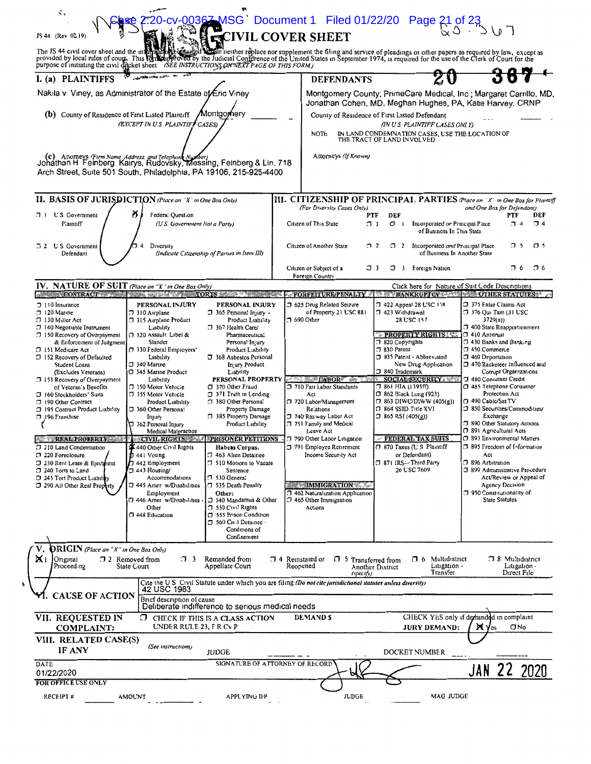| ヾ、<br>JS 44 (Rev 02.19)<br>The JS 44 civil cover sheet and the understanding the figure of the United States in September 1974, is required for the use of the Clerk of Court for the provided by local rules of court. This is rest as<br>purpose of initiating the civil decket sheet (SEE INSTRUCTIONS ON NEXT PAGE OF THIS FORM)<br>I. (a) PLAINTIFFS<br>Nakila v Viney, as Administrator of the Estate of Eric Viney<br>(b) County of Residence of First Listed Plaintiff<br>(c) Attomeys <i>(Firm Name, Address, and Telephone Number)</i><br>Jonathan H Feinberg, Kairys, Rudovsky, Messing, Feinberg & Lin, 718<br>Arch Street, Suite 501 South, Philadelphia, PA 19106, 215-925-4400                                                    | (EXCEPT IN U S. PLAINTIFF CASES)                                                                                                                                                                                                                                                                                                                                                                                                                                                                                                                                                       | <b>CIVIL COVER SHEET</b><br>Montgomery                                                                                                                                                                                                                                                                                                                                                                                                                                                                                                                                                                                                                    | <b>DEFENDANTS</b><br>NOTE<br>Attorneys (If Known)                                                                                                                                                                                                                                                                                                                                                                                                         | $-cv$ -00367 MSG Document 1 Filed 01/22/20 Page 21 of 23<br>County of Residence of First Listed Defendant<br>(IN U S PLAINTIFF CASES ONLY)<br>IN LAND CONDEMNATION CASES, USE THE LOCATION OF<br>THE TRACT OF LAND INVOLVED                                                                                                                                                                                                                                                         | Montgomery County, PrimeCare Medical, Inc.; Margaret Carrillo, MD,<br>Jonathan Cohen, MD, Meghan Hughes, PA, Katie Harvey, CRNP                                                                                                                                                                                                                                                                                                                                                                                                                                                                                                                                                                                                                                                                              |
|--------------------------------------------------------------------------------------------------------------------------------------------------------------------------------------------------------------------------------------------------------------------------------------------------------------------------------------------------------------------------------------------------------------------------------------------------------------------------------------------------------------------------------------------------------------------------------------------------------------------------------------------------------------------------------------------------------------------------------------------------|----------------------------------------------------------------------------------------------------------------------------------------------------------------------------------------------------------------------------------------------------------------------------------------------------------------------------------------------------------------------------------------------------------------------------------------------------------------------------------------------------------------------------------------------------------------------------------------|-----------------------------------------------------------------------------------------------------------------------------------------------------------------------------------------------------------------------------------------------------------------------------------------------------------------------------------------------------------------------------------------------------------------------------------------------------------------------------------------------------------------------------------------------------------------------------------------------------------------------------------------------------------|-----------------------------------------------------------------------------------------------------------------------------------------------------------------------------------------------------------------------------------------------------------------------------------------------------------------------------------------------------------------------------------------------------------------------------------------------------------|-------------------------------------------------------------------------------------------------------------------------------------------------------------------------------------------------------------------------------------------------------------------------------------------------------------------------------------------------------------------------------------------------------------------------------------------------------------------------------------|--------------------------------------------------------------------------------------------------------------------------------------------------------------------------------------------------------------------------------------------------------------------------------------------------------------------------------------------------------------------------------------------------------------------------------------------------------------------------------------------------------------------------------------------------------------------------------------------------------------------------------------------------------------------------------------------------------------------------------------------------------------------------------------------------------------|
| II. BASIS OF JURISDICTION (Place an "X" in One Box Only)<br><b>U.S.</b> Government<br>ЭT<br>Plaintiff<br><b>32 U.S. Government</b><br>Defendant                                                                                                                                                                                                                                                                                                                                                                                                                                                                                                                                                                                                  | ŏ<br>Federal Question<br>(U.S. Government Not a Party)<br>$\overline{4}$<br>Diversity                                                                                                                                                                                                                                                                                                                                                                                                                                                                                                  | (Indicate Citizenship of Parties in Item III)                                                                                                                                                                                                                                                                                                                                                                                                                                                                                                                                                                                                             | (For Diversity Cases Only)<br>PTF<br>Citizen of This State<br>O 1<br>Citizen of Another State<br>J 2<br>Citizen or Subject of a<br>эз                                                                                                                                                                                                                                                                                                                     | DEF<br>$\Box$<br>Incorporated or Principal Place<br>of Business In This State<br>7 2 Incorporated and Principal Place<br>of Business In Another State<br><b>3</b> Foreign Nation                                                                                                                                                                                                                                                                                                    | III. CITIZENSHIP OF PRINCIPAL PARTIES (Place an 'X' in One Box for Plaintiff<br>and One Box for Defendant)<br>PTF<br>DEF<br>CI 4<br>J 4<br>J 5<br>$\sigma$ s<br><b>J6</b><br>J 6                                                                                                                                                                                                                                                                                                                                                                                                                                                                                                                                                                                                                             |
| IV. NATURE OF SUIT (Place an "X' in One Box Only)<br>CONTRACT TORTS<br>$7110$ Insurance<br>7 120 Marine<br>7 130 Miller Act<br>7 140 Negotiable Instrument<br><b>3 150 Recovery of Overpayment</b><br>& Enforcement of Judgment<br>7 151 Medicare Act<br>7 152 Recovery of Defaulted<br>Student Loans<br>(Excludes Veterans)<br>7 153 Recovery of Overpayment<br>of Veteran's Benefits<br>J 160 Stockholders' Suits<br>7 190 Other Contract<br>J 195 Contract Product Liability<br><b>J</b> 196 Franchise<br><b>REAL PROPERTY IN A CONTRIGHTS AND PRISONER PETITIONS</b><br>7 210 Land Condemnation<br>7 220 Foreclosure<br>J 230 Rent Lease & Ejectment<br>7 240 Torts to Land<br>3 245 Tort Product Liability<br>J 290 All Other Real Property | PERSONAL INJURY<br>7 310 Auplane<br>7 315 Airplane Product<br>Liability<br>7 320 Assault, Libel &<br>Slander<br>(7) 330 Federal Employers'<br>Liability<br>7 340 Marine<br>□ 345 Marine Product<br>Liability<br>7 350 Motor Vehicle<br>7 355 Motor Vehicle<br>Product Liability<br>360 Other Personal<br>Injury<br>7 362 Personal Injury<br>Medical Ma!practice<br>440 Other Civil Rights<br><b>D</b> 441 Voting<br>$\sqrt{2}$ 442 Employment<br>J 443 Housing/<br>Accommodations<br>CJ 445 Amer w/Disabilities<br>Employment<br>7 446 Amer w/Disabilities<br>Other<br>7 448 Education | PERSONAL INJURY<br>J 365 Personal Injury -<br>Product Liability<br>7 367 Health Care/<br>Pharmaceutical<br>Persona! In:ury<br>Product Liability<br>368 Asbestos Personal<br>Injury Product<br>Liability<br>PERSONAL PROPERTY<br>370 Other Fraud<br><b>371 Truth in Lending</b><br>7 380 Other Persona!<br>Property Damage<br>7 385 Property Damage<br>Product Liability<br>Habeas Corpus:<br>7 463 Alten Detainee<br><b>7 510 Motions to Vacate</b><br>Sentence<br>7 530 General<br>7 535 Death Penalty<br>Other:<br>3 540 Mandamus & Other<br><b>7 550 Civil Rights</b><br>CJ 555 Prison Condition<br>560 Civ.1 Detainee<br>Conditions of<br>Confinement | Foreign Country<br>FORFEITURE/PENALTY<br>J 625 Drug Related Seizure<br>of Property 21 USC 881<br>$7690$ Other<br><b>LABOR</b><br>710 Fair Labor Standards<br>Act<br>(7) 720 Labor/Management<br>Relations<br>740 Railway Labor Act<br>751 Family and Medical<br>Leave Act<br>790 Other Labor Litigation<br>791 Employee Retirement<br>Income Security Act<br><b>EMMIGRATION</b><br>7 462 Naturalization Application<br>7 465 Other Immigration<br>Actions | 7 422 Appeal 28 USC 158<br>7 423 Withdrawal<br>28 USC 157<br><b>PROPERTY RIGHTS</b><br>CJ 820 Copyrights<br>7 830 Patent<br>335 Patent - Abbrevated<br>New Drug Application<br>コ 840 Trademark<br>SOCIAL SECURITY<br><b>7 861 HIA (1395ff)</b><br><b>0 862 Black Lung (923)</b><br>$\Box$ 863 DIWC/DIWW (405(g))<br>CJ 864 SSID Title XVI<br>$\Box$ 865 RSI (405(g))<br>- FEDERAL TAX SUITS<br>(7 870 Taxes (U S Plaintiff<br>or Defendant)<br>7 871 IRS-Third Party<br>26 USC 7609 | Click here for Nature of Suit Code Descriptions<br>BANKRUPTCY OTHER STATUTES:<br>J 375 False Claims Act<br>7376 Qui Tam (31 USC<br>3729(a)<br>7 400 State Reapportionment<br><b>J</b> 410 Antitrust<br>7 430 Banks and Banking<br>C 450 Commerce<br><b>J</b> 460 Deportation<br><b>J</b> 470 Racketeer Influenced and<br>Corrupt Organizations<br><b>J</b> 480 Consumer Credit<br>1 485 Telephone Consumer<br>Protection Act<br>7 490 Cable/Sat TV<br><b>3 850 Securities/Commodities/</b><br>Exchange<br>7 890 Other Statutory Actions<br>(7 891 Agricultural Acts<br>(7) 893 Environmental Matters<br>7 895 Freedom of Information<br>Act<br>7 896 Arbatration<br><b>399 Administrative Procedure</b><br>Act/Review or Appeal of<br>Agency Decision<br>C 950 Constitutionality of<br><b>State Statutes</b> |
| <b>ORIGIN</b> (Place an "X" in One Box Only)<br>×ι<br>Ongmal<br>Proceeding<br><b>CAUSE OF ACTION</b><br>VII. REQUESTED IN<br><b>COMPLAINT:</b><br>VIII. RELATED CASE(S)<br>IF ANY<br>DATE<br>01/22/2020<br><b>FOR OFFICE USE ONLY</b><br>RECEIPT#                                                                                                                                                                                                                                                                                                                                                                                                                                                                                                | $72$ Removed from<br>73<br>State Court<br>42 USC 1983<br>Brief description of cause<br>Э.<br>UNDER RULE 23, FR Cv P<br>(See instructions)<br>AMOUNT                                                                                                                                                                                                                                                                                                                                                                                                                                    | Remanded from<br>Appellate Court<br>Deliberate indifference to serious medical needs<br>CHECK IF THIS IS A CLASS ACTION<br><b>JUDGE</b><br>SIGNATURE OF ATTORNEY OF RECORD<br>APPLYING IFP                                                                                                                                                                                                                                                                                                                                                                                                                                                                | <b>J</b> 4 Reinstated or<br>$\Box$ 5 Transferred from<br>Reopened<br>(specify)<br>Cite the U S Civil Statute under which you are filing (Do not cite jurisdictional statutes unless diversity)<br><b>DEMANDS</b><br><b>JUDGE</b>                                                                                                                                                                                                                          | $\Box$ 6 Multidistrict<br>Litigation -<br>Another District<br>Transfer<br><b>JURY DEMAND:</b><br>DOCKET NUMBER<br>MAG JUDGE                                                                                                                                                                                                                                                                                                                                                         | $\sqrt{3}$ 8 Multidistrict<br>Litigation -<br>Direct File<br>CHECK YES only if demanded in complaint<br>M)<br>ONo<br><b>es</b><br><b>JAN 22</b><br>2020                                                                                                                                                                                                                                                                                                                                                                                                                                                                                                                                                                                                                                                      |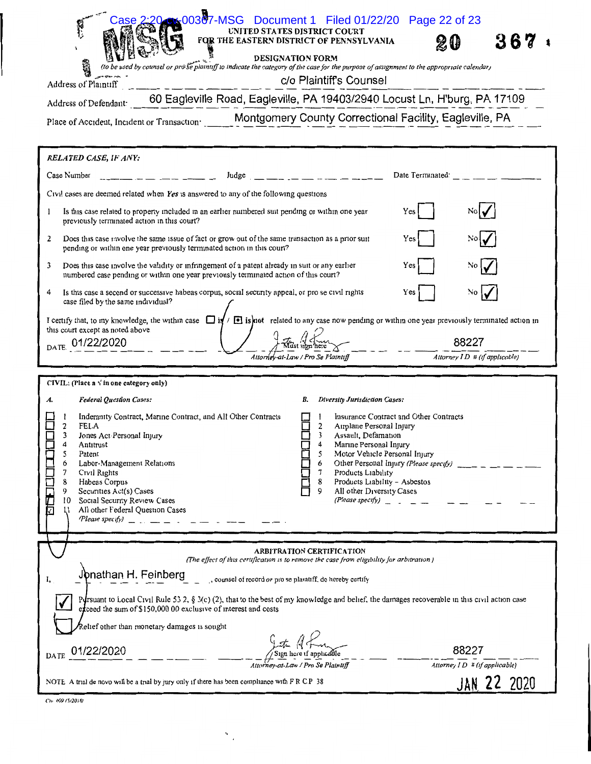| $-00307$ -MSG Document 1 Filed 01/22/20 Page 22 of 23<br>UNITED STATES DISTRICT COURT<br>FOR THE EASTERN DISTRICT OF PENNSYLVANIA<br>367<br>20<br><b>DESIGNATION FORM</b><br>(to be used by counsel or prose plaintiff to indicate the category of the case for the purpose of assignment to the appropriate calendar)<br>c/o Plaintiff's Counsel                                                                                                                                                                                                                                                                                                                                                                                                                                                                                                                                                                                                                                                                                                                                                             |  |  |  |
|---------------------------------------------------------------------------------------------------------------------------------------------------------------------------------------------------------------------------------------------------------------------------------------------------------------------------------------------------------------------------------------------------------------------------------------------------------------------------------------------------------------------------------------------------------------------------------------------------------------------------------------------------------------------------------------------------------------------------------------------------------------------------------------------------------------------------------------------------------------------------------------------------------------------------------------------------------------------------------------------------------------------------------------------------------------------------------------------------------------|--|--|--|
| Address of Plaintiff<br>Address of Defendant: 60 Eagleville Road, Eagleville, PA 19403/2940 Locust Ln, H'burg, PA 17109                                                                                                                                                                                                                                                                                                                                                                                                                                                                                                                                                                                                                                                                                                                                                                                                                                                                                                                                                                                       |  |  |  |
|                                                                                                                                                                                                                                                                                                                                                                                                                                                                                                                                                                                                                                                                                                                                                                                                                                                                                                                                                                                                                                                                                                               |  |  |  |
| Place of Accident, Incident or Transaction. ______ Montgomery County Correctional Facility, Eagleville, PA                                                                                                                                                                                                                                                                                                                                                                                                                                                                                                                                                                                                                                                                                                                                                                                                                                                                                                                                                                                                    |  |  |  |
| RELATED CASE, IF ANY:                                                                                                                                                                                                                                                                                                                                                                                                                                                                                                                                                                                                                                                                                                                                                                                                                                                                                                                                                                                                                                                                                         |  |  |  |
| Judge $\frac{1}{2}$ = $\frac{1}{2}$ = $\frac{1}{2}$ = $\frac{1}{2}$ = $\frac{1}{2}$ = $\frac{1}{2}$ = $\frac{1}{2}$ = $\frac{1}{2}$ = $\frac{1}{2}$ = $\frac{1}{2}$ = $\frac{1}{2}$ = $\frac{1}{2}$ = $\frac{1}{2}$ = $\frac{1}{2}$ = $\frac{1}{2}$ = $\frac{1}{2}$ = $\frac{1}{2}$ = $\frac{1}{2}$ =<br>$\frac{1}{2}$ and $\frac{1}{2}$ and $\frac{1}{2}$ and $\frac{1}{2}$ and $\frac{1}{2}$ and $\frac{1}{2}$<br>Date Terminated: $\frac{1}{1}$ $\frac{1}{1}$ $\frac{1}{1}$ $\frac{1}{1}$ $\frac{1}{1}$ $\frac{1}{1}$ $\frac{1}{1}$<br>Case Number                                                                                                                                                                                                                                                                                                                                                                                                                                                                                                                                                         |  |  |  |
| Civil cases are deemed related when Yes is answered to any of the following questions                                                                                                                                                                                                                                                                                                                                                                                                                                                                                                                                                                                                                                                                                                                                                                                                                                                                                                                                                                                                                         |  |  |  |
| Is this case related to property included in an earlier numbered suit pending or within one year<br>1<br>previously terminated action in this court?                                                                                                                                                                                                                                                                                                                                                                                                                                                                                                                                                                                                                                                                                                                                                                                                                                                                                                                                                          |  |  |  |
| 2<br>Does this case involve the same issue of fact or grow out of the same transaction as a prior suit<br>Yes<br>pending or within one year previously terminated action in this court?                                                                                                                                                                                                                                                                                                                                                                                                                                                                                                                                                                                                                                                                                                                                                                                                                                                                                                                       |  |  |  |
| 3<br>Does this case involve the validity or infringement of a patent already in suit or any earlier<br>Yes<br>numbered case pending or within one year previously terminated action of this court?                                                                                                                                                                                                                                                                                                                                                                                                                                                                                                                                                                                                                                                                                                                                                                                                                                                                                                            |  |  |  |
| Is this case a second or successive habeas corpus, social security appeal, or pro se civil rights<br>Yes<br>4<br>No<br>case filed by the same individual?                                                                                                                                                                                                                                                                                                                                                                                                                                                                                                                                                                                                                                                                                                                                                                                                                                                                                                                                                     |  |  |  |
| I certify that, to my knowledge, the within case $\Box$ is $/$ $\Box$ is not related to any case now pending or within one year previously terminated action in<br>this court except as noted above.<br>$\frac{M_{\text{dust}}}{M_{\text{dst}}}\left\{\frac{M_{\text{cust}}}{M_{\text{dust}}}\right\}$<br><sub>DATE</sub> 01/22/2020<br>Attornev-at-Law / Pro Se Plaintiff<br>Attorney I D # (if applicable)                                                                                                                                                                                                                                                                                                                                                                                                                                                                                                                                                                                                                                                                                                  |  |  |  |
| CIVIL: (Place a $\sqrt{ }$ in one category only)                                                                                                                                                                                                                                                                                                                                                                                                                                                                                                                                                                                                                                                                                                                                                                                                                                                                                                                                                                                                                                                              |  |  |  |
| Federal Question Cases:<br><b>Diversity Jurisdiction Cases:</b><br>А.<br>В.                                                                                                                                                                                                                                                                                                                                                                                                                                                                                                                                                                                                                                                                                                                                                                                                                                                                                                                                                                                                                                   |  |  |  |
| Indemnity Contract, Marine Contract, and All Other Contracts<br>Insurance Contract and Other Contracts<br>1<br>FELA<br>2<br>2<br>Airplane Personal Injury<br>3<br>$\overline{\mathbf{3}}$<br>Assault, Defamation<br>Jones Act Personal Injury<br>Marine Personal Injury<br>4<br>4<br>Antitrust<br><b>SIPERITY REP</b><br>5<br>Motor Vehicle Personal Injury<br>Patent<br>5<br>6<br>Other Personal Injury (Please specify) _____ _ _ _ _<br>Labor-Management Relations<br>6<br>7<br>7<br>Products Liability<br>Civil Rights<br>8<br>8<br>Products Liability - Asbestos<br>Habeas Corpus<br>9<br>Securities Act(s) Cases<br>9<br>All other Diversity Cases<br>$(Please specify)$ _____<br>Social Security Review Cases<br>10<br>All other Federal Question Cases<br>11<br>(Please specify) $\qquad \qquad$ $\qquad$ $\qquad$ $\qquad$ $\qquad$ $\qquad$ $\qquad$ $\qquad$ $\qquad$ $\qquad$ $\qquad$ $\qquad$ $\qquad$ $\qquad$ $\qquad$ $\qquad$ $\qquad$ $\qquad$ $\qquad$ $\qquad$ $\qquad$ $\qquad$ $\qquad$ $\qquad$ $\qquad$ $\qquad$ $\qquad$ $\qquad$ $\qquad$ $\qquad$ $\qquad$ $\qquad$ $\qquad$ $\q$ |  |  |  |
| ARBITRATION CERTIFICATION                                                                                                                                                                                                                                                                                                                                                                                                                                                                                                                                                                                                                                                                                                                                                                                                                                                                                                                                                                                                                                                                                     |  |  |  |
| (The effect of this certification is to remove the case from eligibility for arbitration)<br>Jonathan H. Feinberg counsel of record or pro se plaintiff, do hereby certify<br>I,                                                                                                                                                                                                                                                                                                                                                                                                                                                                                                                                                                                                                                                                                                                                                                                                                                                                                                                              |  |  |  |
| Pursuant to Local Civil Rule 53 2, $\S$ 3(c) (2), that to the best of my knowledge and belief, the damages recoverable in this civil action case<br>exceed the sum of \$150,000 00 exclusive of interest and costs<br>Relief other than monetary damages is sought                                                                                                                                                                                                                                                                                                                                                                                                                                                                                                                                                                                                                                                                                                                                                                                                                                            |  |  |  |
| 88227<br><b>DATE</b>                                                                                                                                                                                                                                                                                                                                                                                                                                                                                                                                                                                                                                                                                                                                                                                                                                                                                                                                                                                                                                                                                          |  |  |  |
| Attorney I D # (if applicable)<br><b>JAN 22 2020</b><br>NOTE A trial de novo will be a trial by jury only if there has been compliance with $F \, R \, C \, P$ 38                                                                                                                                                                                                                                                                                                                                                                                                                                                                                                                                                                                                                                                                                                                                                                                                                                                                                                                                             |  |  |  |

|  | Ctv 609 (5/2018) |
|--|------------------|
|  |                  |